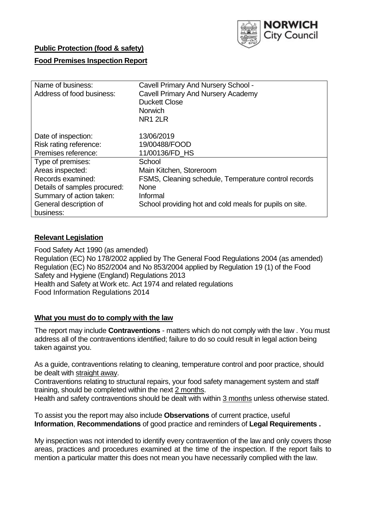

# **Public Protection (food & safety)**

### **Food Premises Inspection Report**

| Name of business:            | <b>Cavell Primary And Nursery School -</b>              |  |  |  |  |  |
|------------------------------|---------------------------------------------------------|--|--|--|--|--|
| Address of food business:    | <b>Cavell Primary And Nursery Academy</b>               |  |  |  |  |  |
|                              | <b>Duckett Close</b>                                    |  |  |  |  |  |
|                              | Norwich                                                 |  |  |  |  |  |
|                              | <b>NR1 2LR</b>                                          |  |  |  |  |  |
|                              |                                                         |  |  |  |  |  |
| Date of inspection:          | 13/06/2019                                              |  |  |  |  |  |
| Risk rating reference:       | 19/00488/FOOD                                           |  |  |  |  |  |
| Premises reference:          | 11/00136/FD HS                                          |  |  |  |  |  |
| Type of premises:            | School                                                  |  |  |  |  |  |
| Areas inspected:             | Main Kitchen, Storeroom                                 |  |  |  |  |  |
| Records examined:            | FSMS, Cleaning schedule, Temperature control records    |  |  |  |  |  |
| Details of samples procured: | <b>None</b>                                             |  |  |  |  |  |
| Summary of action taken:     | Informal                                                |  |  |  |  |  |
| General description of       | School providing hot and cold meals for pupils on site. |  |  |  |  |  |
| business:                    |                                                         |  |  |  |  |  |

### **Relevant Legislation**

Food Safety Act 1990 (as amended) Regulation (EC) No 178/2002 applied by The General Food Regulations 2004 (as amended) Regulation (EC) No 852/2004 and No 853/2004 applied by Regulation 19 (1) of the Food Safety and Hygiene (England) Regulations 2013 Health and Safety at Work etc. Act 1974 and related regulations Food Information Regulations 2014

### **What you must do to comply with the law**

The report may include **Contraventions** - matters which do not comply with the law . You must address all of the contraventions identified; failure to do so could result in legal action being taken against you.

As a guide, contraventions relating to cleaning, temperature control and poor practice, should be dealt with straight away.

Contraventions relating to structural repairs, your food safety management system and staff training, should be completed within the next 2 months.

Health and safety contraventions should be dealt with within 3 months unless otherwise stated.

To assist you the report may also include **Observations** of current practice, useful **Information**, **Recommendations** of good practice and reminders of **Legal Requirements .**

My inspection was not intended to identify every contravention of the law and only covers those areas, practices and procedures examined at the time of the inspection. If the report fails to mention a particular matter this does not mean you have necessarily complied with the law.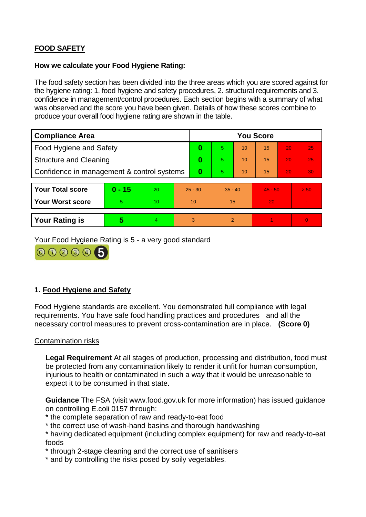# **FOOD SAFETY**

### **How we calculate your Food Hygiene Rating:**

The food safety section has been divided into the three areas which you are scored against for the hygiene rating: 1. food hygiene and safety procedures, 2. structural requirements and 3. confidence in management/control procedures. Each section begins with a summary of what was observed and the score you have been given. Details of how these scores combine to produce your overall food hygiene rating are shown in the table.

| <b>Compliance Area</b>                     |          |    |           | <b>You Score</b> |                |    |           |    |          |  |  |
|--------------------------------------------|----------|----|-----------|------------------|----------------|----|-----------|----|----------|--|--|
| Food Hygiene and Safety                    |          |    |           | 0                | 5.             | 10 | 15        | 20 | 25       |  |  |
| <b>Structure and Cleaning</b>              |          |    | 0         | 5.               | 10             | 15 | 20        | 25 |          |  |  |
| Confidence in management & control systems |          |    | 0         | 5                | 10             | 15 | 20        | 30 |          |  |  |
|                                            |          |    |           |                  |                |    |           |    |          |  |  |
| <b>Your Total score</b>                    | $0 - 15$ | 20 | $25 - 30$ |                  | $35 - 40$      |    | $45 - 50$ |    | > 50     |  |  |
| <b>Your Worst score</b>                    | 5        | 10 | 10        |                  | 15             |    | 20        |    |          |  |  |
|                                            |          |    |           |                  |                |    |           |    |          |  |  |
| <b>Your Rating is</b>                      | 5        |    | 3         |                  | $\overline{2}$ |    |           |    | $\Omega$ |  |  |

Your Food Hygiene Rating is 5 - a very good standard



# **1. Food Hygiene and Safety**

Food Hygiene standards are excellent. You demonstrated full compliance with legal requirements. You have safe food handling practices and procedures and all the necessary control measures to prevent cross-contamination are in place. **(Score 0)**

### Contamination risks

**Legal Requirement** At all stages of production, processing and distribution, food must be protected from any contamination likely to render it unfit for human consumption, injurious to health or contaminated in such a way that it would be unreasonable to expect it to be consumed in that state.

**Guidance** The FSA (visit www.food.gov.uk for more information) has issued guidance on controlling E.coli 0157 through:

- \* the complete separation of raw and ready-to-eat food
- \* the correct use of wash-hand basins and thorough handwashing
- \* having dedicated equipment (including complex equipment) for raw and ready-to-eat foods
- \* through 2-stage cleaning and the correct use of sanitisers
- \* and by controlling the risks posed by soily vegetables.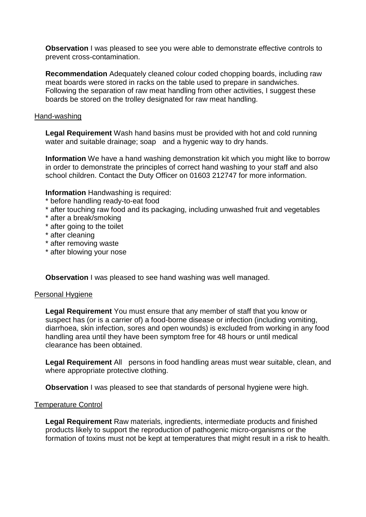**Observation** I was pleased to see you were able to demonstrate effective controls to prevent cross-contamination.

**Recommendation** Adequately cleaned colour coded chopping boards, including raw meat boards were stored in racks on the table used to prepare in sandwiches. Following the separation of raw meat handling from other activities, I suggest these boards be stored on the trolley designated for raw meat handling.

### Hand-washing

**Legal Requirement** Wash hand basins must be provided with hot and cold running water and suitable drainage; soap and a hygenic way to dry hands.

**Information** We have a hand washing demonstration kit which you might like to borrow in order to demonstrate the principles of correct hand washing to your staff and also school children. Contact the Duty Officer on 01603 212747 for more information.

**Information Handwashing is required:** 

- \* before handling ready-to-eat food
- \* after touching raw food and its packaging, including unwashed fruit and vegetables
- \* after a break/smoking
- \* after going to the toilet
- \* after cleaning
- \* after removing waste
- \* after blowing your nose

**Observation** I was pleased to see hand washing was well managed.

## Personal Hygiene

**Legal Requirement** You must ensure that any member of staff that you know or suspect has (or is a carrier of) a food-borne disease or infection (including vomiting, diarrhoea, skin infection, sores and open wounds) is excluded from working in any food handling area until they have been symptom free for 48 hours or until medical clearance has been obtained.

**Legal Requirement** All persons in food handling areas must wear suitable, clean, and where appropriate protective clothing.

**Observation** I was pleased to see that standards of personal hygiene were high.

## Temperature Control

**Legal Requirement** Raw materials, ingredients, intermediate products and finished products likely to support the reproduction of pathogenic micro-organisms or the formation of toxins must not be kept at temperatures that might result in a risk to health.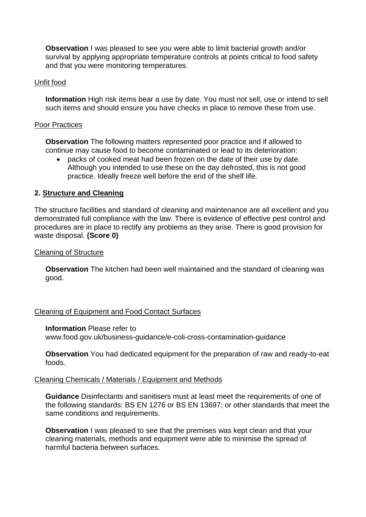**Observation** I was pleased to see you were able to limit bacterial growth and/or survival by applying appropriate temperature controls at points critical to food safety and that you were monitoring temperatures.

### Unfit food

**Information** High risk items bear a use by date. You must not sell, use or intend to sell such items and should ensure you have checks in place to remove these from use.

### Poor Practices

**Observation** The following matters represented poor practice and if allowed to continue may cause food to become contaminated or lead to its deterioration:

 packs of cooked meat had been frozen on the date of their use by date. Although you intended to use these on the day defrosted, this is not good practice. Ideally freeze well before the end of the shelf life.

## **2. Structure and Cleaning**

The structure facilities and standard of cleaning and maintenance are all excellent and you demonstrated full compliance with the law. There is evidence of effective pest control and procedures are in place to rectify any problems as they arise. There is good provision for waste disposal. **(Score 0)**

### Cleaning of Structure

**Observation** The kitchen had been well maintained and the standard of cleaning was good.

### Cleaning of Equipment and Food Contact Surfaces

### **Information** Please refer to

www.food.gov.uk/business-guidance/e-coli-cross-contamination-guidance

**Observation** You had dedicated equipment for the preparation of raw and ready-to-eat foods.

### Cleaning Chemicals / Materials / Equipment and Methods

**Guidance** Disinfectants and sanitisers must at least meet the requirements of one of the following standards: BS EN 1276 or BS EN 13697; or other standards that meet the same conditions and requirements.

**Observation** I was pleased to see that the premises was kept clean and that your cleaning materials, methods and equipment were able to minimise the spread of harmful bacteria between surfaces.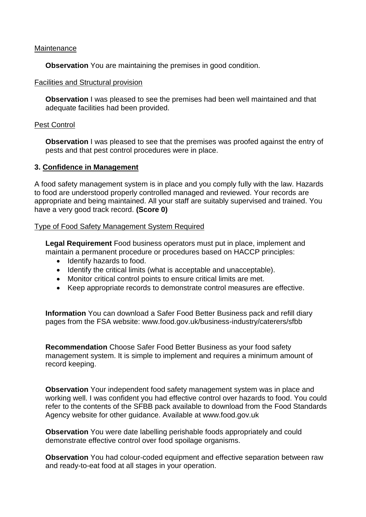### **Maintenance**

**Observation** You are maintaining the premises in good condition.

### Facilities and Structural provision

**Observation** I was pleased to see the premises had been well maintained and that adequate facilities had been provided.

### Pest Control

**Observation** I was pleased to see that the premises was proofed against the entry of pests and that pest control procedures were in place.

## **3. Confidence in Management**

A food safety management system is in place and you comply fully with the law. Hazards to food are understood properly controlled managed and reviewed. Your records are appropriate and being maintained. All your staff are suitably supervised and trained. You have a very good track record. **(Score 0)**

## Type of Food Safety Management System Required

**Legal Requirement** Food business operators must put in place, implement and maintain a permanent procedure or procedures based on HACCP principles:

- Identify hazards to food.
- Identify the critical limits (what is acceptable and unacceptable).
- Monitor critical control points to ensure critical limits are met.
- Keep appropriate records to demonstrate control measures are effective.

**Information** You can download a Safer Food Better Business pack and refill diary pages from the FSA website: www.food.gov.uk/business-industry/caterers/sfbb

**Recommendation** Choose Safer Food Better Business as your food safety management system. It is simple to implement and requires a minimum amount of record keeping.

**Observation** Your independent food safety management system was in place and working well. I was confident you had effective control over hazards to food. You could refer to the contents of the SFBB pack available to download from the Food Standards Agency website for other guidance. Available at www.food.gov.uk

**Observation** You were date labelling perishable foods appropriately and could demonstrate effective control over food spoilage organisms.

**Observation** You had colour-coded equipment and effective separation between raw and ready-to-eat food at all stages in your operation.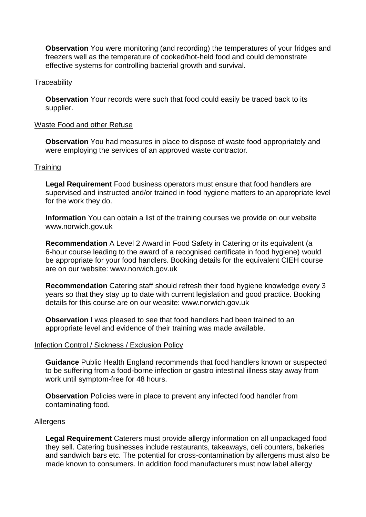**Observation** You were monitoring (and recording) the temperatures of your fridges and freezers well as the temperature of cooked/hot-held food and could demonstrate effective systems for controlling bacterial growth and survival.

### **Traceability**

**Observation** Your records were such that food could easily be traced back to its supplier.

### Waste Food and other Refuse

**Observation** You had measures in place to dispose of waste food appropriately and were employing the services of an approved waste contractor.

#### **Training**

**Legal Requirement** Food business operators must ensure that food handlers are supervised and instructed and/or trained in food hygiene matters to an appropriate level for the work they do.

**Information** You can obtain a list of the training courses we provide on our website www.norwich.gov.uk

**Recommendation** A Level 2 Award in Food Safety in Catering or its equivalent (a 6-hour course leading to the award of a recognised certificate in food hygiene) would be appropriate for your food handlers. Booking details for the equivalent CIEH course are on our website: www.norwich.gov.uk

**Recommendation** Catering staff should refresh their food hygiene knowledge every 3 years so that they stay up to date with current legislation and good practice. Booking details for this course are on our website: www.norwich.gov.uk

**Observation** I was pleased to see that food handlers had been trained to an appropriate level and evidence of their training was made available.

#### Infection Control / Sickness / Exclusion Policy

**Guidance** Public Health England recommends that food handlers known or suspected to be suffering from a food-borne infection or gastro intestinal illness stay away from work until symptom-free for 48 hours.

**Observation** Policies were in place to prevent any infected food handler from contaminating food.

#### **Allergens**

**Legal Requirement** Caterers must provide allergy information on all unpackaged food they sell. Catering businesses include restaurants, takeaways, deli counters, bakeries and sandwich bars etc. The potential for cross-contamination by allergens must also be made known to consumers. In addition food manufacturers must now label allergy